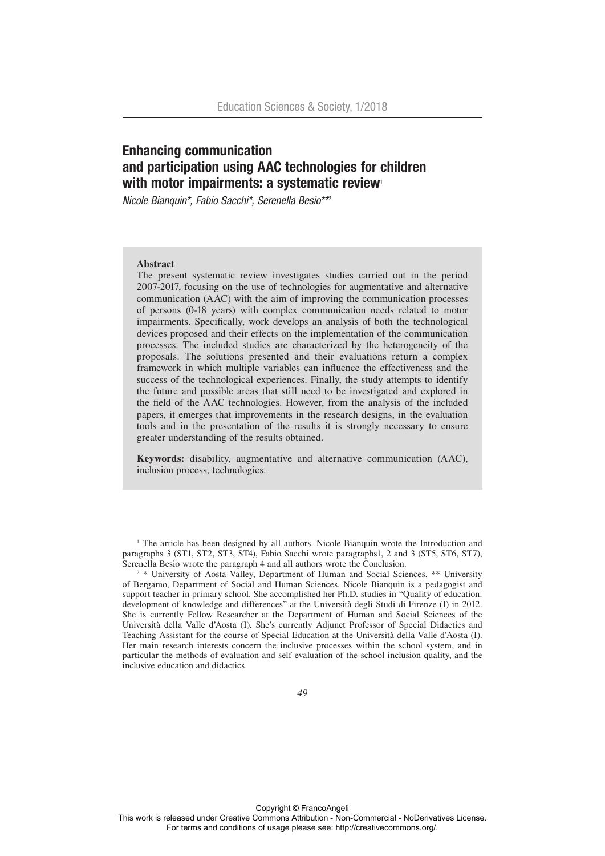# Enhancing communication and participation using AAC technologies for children with motor impairments: a systematic review

*Nicole Bianquin\*, Fabio Sacchi\*, Serenella Besio\*\**<sup>2</sup>

## **Abstract**

The present systematic review investigates studies carried out in the period 2007-2017, focusing on the use of technologies for augmentative and alternative communication (AAC) with the aim of improving the communication processes of persons (0-18 years) with complex communication needs related to motor impairments. Specifically, work develops an analysis of both the technological devices proposed and their effects on the implementation of the communication processes. The included studies are characterized by the heterogeneity of the proposals. The solutions presented and their evaluations return a complex framework in which multiple variables can influence the effectiveness and the success of the technological experiences. Finally, the study attempts to identify the future and possible areas that still need to be investigated and explored in the field of the AAC technologies. However, from the analysis of the included papers, it emerges that improvements in the research designs, in the evaluation tools and in the presentation of the results it is strongly necessary to ensure greater understanding of the results obtained.

**Keywords:** disability, augmentative and alternative communication (AAC), inclusion process, technologies.

<sup>1</sup> The article has been designed by all authors. Nicole Bianquin wrote the Introduction and paragraphs 3 (ST1, ST2, ST3, ST4), Fabio Sacchi wrote paragraphs1, 2 and 3 (ST5, ST6, ST7), Serenella Besio wrote the paragraph 4 and all authors wrote the Conclusion.

<sup>2</sup> \* University of Aosta Valley, Department of Human and Social Sciences, \*\* University of Bergamo, Department of Social and Human Sciences. Nicole Bianquin is a pedagogist and support teacher in primary school. She accomplished her Ph.D. studies in "Quality of education: development of knowledge and differences" at the Università degli Studi di Firenze (I) in 2012. She is currently Fellow Researcher at the Department of Human and Social Sciences of the Università della Valle d'Aosta (I). She's currently Adjunct Professor of Special Didactics and Teaching Assistant for the course of Special Education at the Università della Valle d'Aosta (I). Her main research interests concern the inclusive processes within the school system, and in particular the methods of evaluation and self evaluation of the school inclusion quality, and the inclusive education and didactics.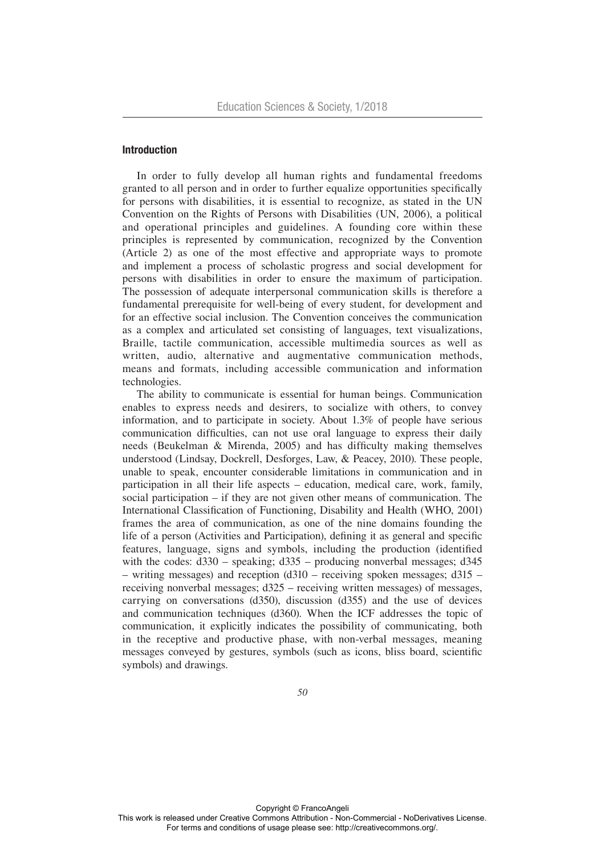## Introduction

In order to fully develop all human rights and fundamental freedoms granted to all person and in order to further equalize opportunities specifically for persons with disabilities, it is essential to recognize, as stated in the UN Convention on the Rights of Persons with Disabilities (UN, 2006), a political and operational principles and guidelines. A founding core within these principles is represented by communication, recognized by the Convention (Article 2) as one of the most effective and appropriate ways to promote and implement a process of scholastic progress and social development for persons with disabilities in order to ensure the maximum of participation. The possession of adequate interpersonal communication skills is therefore a fundamental prerequisite for well-being of every student, for development and for an effective social inclusion. The Convention conceives the communication as a complex and articulated set consisting of languages, text visualizations, Braille, tactile communication, accessible multimedia sources as well as written, audio, alternative and augmentative communication methods, means and formats, including accessible communication and information technologies.

The ability to communicate is essential for human beings. Communication enables to express needs and desirers, to socialize with others, to convey information, and to participate in society. About 1.3% of people have serious communication difficulties, can not use oral language to express their daily needs (Beukelman & Mirenda, 2005) and has difficulty making themselves understood (Lindsay, Dockrell, Desforges, Law, & Peacey, 2010). These people, unable to speak, encounter considerable limitations in communication and in participation in all their life aspects – education, medical care, work, family, social participation – if they are not given other means of communication. The International Classification of Functioning, Disability and Health (WHO, 2001) frames the area of communication, as one of the nine domains founding the life of a person (Activities and Participation), defining it as general and specific features, language, signs and symbols, including the production (identified with the codes:  $d330 -$  speaking;  $d335 -$  producing nonverbal messages;  $d345$ – writing messages) and reception (d310 – receiving spoken messages; d315 – receiving nonverbal messages; d325 – receiving written messages) of messages, carrying on conversations (d350), discussion (d355) and the use of devices and communication techniques (d360). When the ICF addresses the topic of communication, it explicitly indicates the possibility of communicating, both in the receptive and productive phase, with non-verbal messages, meaning messages conveyed by gestures, symbols (such as icons, bliss board, scientific symbols) and drawings.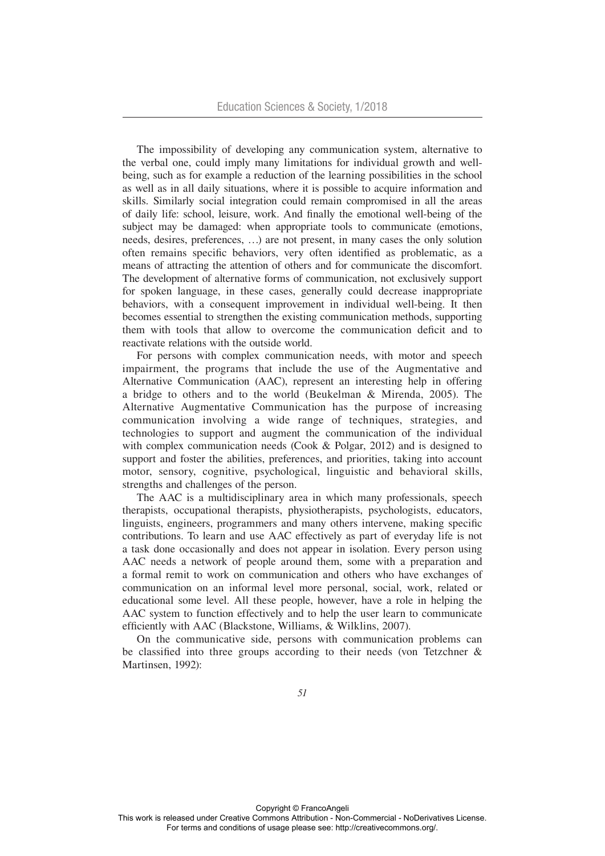The impossibility of developing any communication system, alternative to the verbal one, could imply many limitations for individual growth and wellbeing, such as for example a reduction of the learning possibilities in the school as well as in all daily situations, where it is possible to acquire information and skills. Similarly social integration could remain compromised in all the areas of daily life: school, leisure, work. And finally the emotional well-being of the subject may be damaged: when appropriate tools to communicate (emotions, needs, desires, preferences, …) are not present, in many cases the only solution often remains specific behaviors, very often identified as problematic, as a means of attracting the attention of others and for communicate the discomfort. The development of alternative forms of communication, not exclusively support for spoken language, in these cases, generally could decrease inappropriate behaviors, with a consequent improvement in individual well-being. It then becomes essential to strengthen the existing communication methods, supporting them with tools that allow to overcome the communication deficit and to reactivate relations with the outside world.

For persons with complex communication needs, with motor and speech impairment, the programs that include the use of the Augmentative and Alternative Communication (AAC), represent an interesting help in offering a bridge to others and to the world (Beukelman & Mirenda, 2005). The Alternative Augmentative Communication has the purpose of increasing communication involving a wide range of techniques, strategies, and technologies to support and augment the communication of the individual with complex communication needs (Cook & Polgar, 2012) and is designed to support and foster the abilities, preferences, and priorities, taking into account motor, sensory, cognitive, psychological, linguistic and behavioral skills, strengths and challenges of the person.

The AAC is a multidisciplinary area in which many professionals, speech therapists, occupational therapists, physiotherapists, psychologists, educators, linguists, engineers, programmers and many others intervene, making specific contributions. To learn and use AAC effectively as part of everyday life is not a task done occasionally and does not appear in isolation. Every person using AAC needs a network of people around them, some with a preparation and a formal remit to work on communication and others who have exchanges of communication on an informal level more personal, social, work, related or educational some level. All these people, however, have a role in helping the AAC system to function effectively and to help the user learn to communicate efficiently with AAC (Blackstone, Williams, & Wilklins, 2007).

On the communicative side, persons with communication problems can be classified into three groups according to their needs (von Tetzchner & Martinsen, 1992):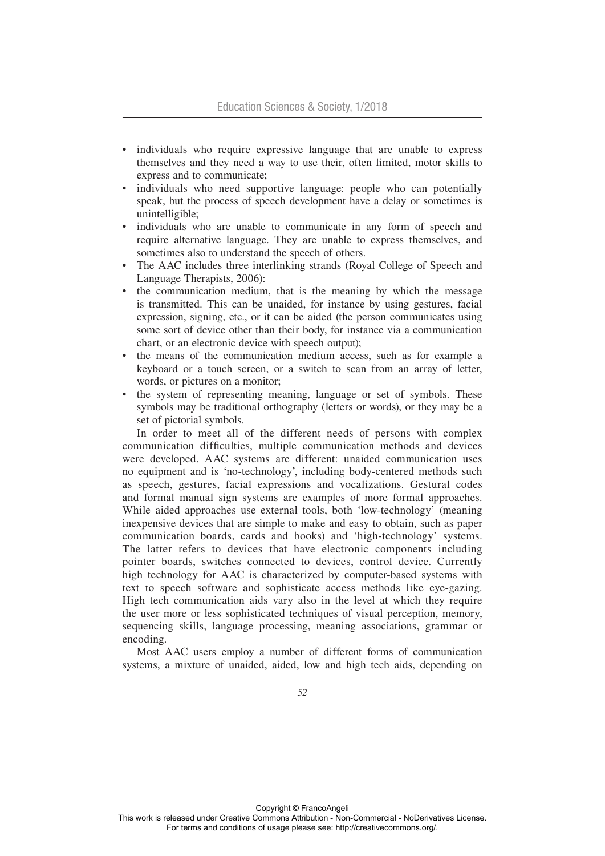- individuals who require expressive language that are unable to express themselves and they need a way to use their, often limited, motor skills to express and to communicate;
- individuals who need supportive language: people who can potentially speak, but the process of speech development have a delay or sometimes is unintelligible;
- individuals who are unable to communicate in any form of speech and require alternative language. They are unable to express themselves, and sometimes also to understand the speech of others.
- The AAC includes three interlinking strands (Royal College of Speech and Language Therapists, 2006):
- the communication medium, that is the meaning by which the message is transmitted. This can be unaided, for instance by using gestures, facial expression, signing, etc., or it can be aided (the person communicates using some sort of device other than their body, for instance via a communication chart, or an electronic device with speech output);
- the means of the communication medium access, such as for example a keyboard or a touch screen, or a switch to scan from an array of letter, words, or pictures on a monitor;
- the system of representing meaning, language or set of symbols. These symbols may be traditional orthography (letters or words), or they may be a set of pictorial symbols.

In order to meet all of the different needs of persons with complex communication difficulties, multiple communication methods and devices were developed. AAC systems are different: unaided communication uses no equipment and is 'no-technology', including body-centered methods such as speech, gestures, facial expressions and vocalizations. Gestural codes and formal manual sign systems are examples of more formal approaches. While aided approaches use external tools, both 'low-technology' (meaning inexpensive devices that are simple to make and easy to obtain, such as paper communication boards, cards and books) and 'high-technology' systems. The latter refers to devices that have electronic components including pointer boards, switches connected to devices, control device. Currently high technology for AAC is characterized by computer-based systems with text to speech software and sophisticate access methods like eye-gazing. High tech communication aids vary also in the level at which they require the user more or less sophisticated techniques of visual perception, memory, sequencing skills, language processing, meaning associations, grammar or encoding.

Most AAC users employ a number of different forms of communication systems, a mixture of unaided, aided, low and high tech aids, depending on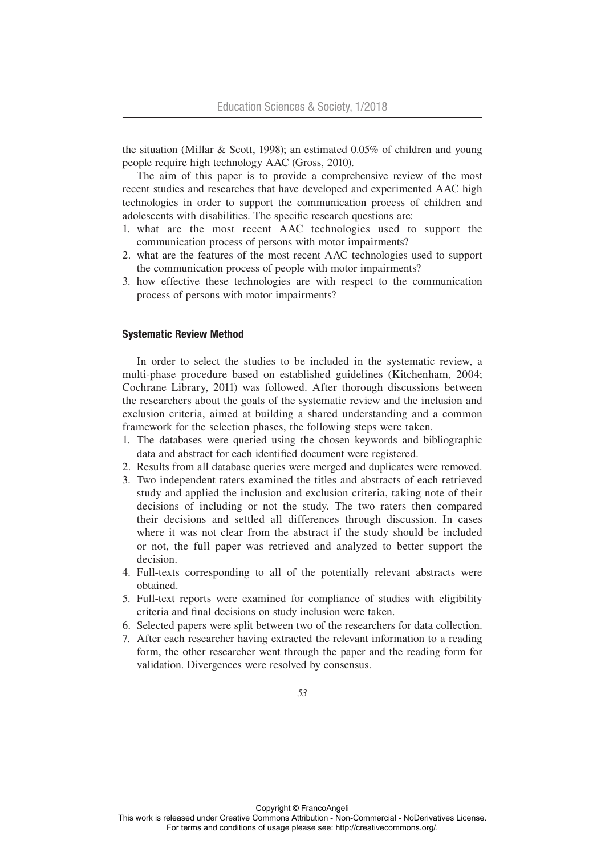the situation (Millar & Scott, 1998); an estimated 0.05% of children and young people require high technology AAC (Gross, 2010).

The aim of this paper is to provide a comprehensive review of the most recent studies and researches that have developed and experimented AAC high technologies in order to support the communication process of children and adolescents with disabilities. The specific research questions are:

- 1. what are the most recent AAC technologies used to support the communication process of persons with motor impairments?
- 2. what are the features of the most recent AAC technologies used to support the communication process of people with motor impairments?
- 3. how effective these technologies are with respect to the communication process of persons with motor impairments?

#### Systematic Review Method

In order to select the studies to be included in the systematic review, a multi-phase procedure based on established guidelines (Kitchenham, 2004; Cochrane Library, 2011) was followed. After thorough discussions between the researchers about the goals of the systematic review and the inclusion and exclusion criteria, aimed at building a shared understanding and a common framework for the selection phases, the following steps were taken.

- 1. The databases were queried using the chosen keywords and bibliographic data and abstract for each identified document were registered.
- 2. Results from all database queries were merged and duplicates were removed.
- 3. Two independent raters examined the titles and abstracts of each retrieved study and applied the inclusion and exclusion criteria, taking note of their decisions of including or not the study. The two raters then compared their decisions and settled all differences through discussion. In cases where it was not clear from the abstract if the study should be included or not, the full paper was retrieved and analyzed to better support the decision.
- 4. Full-texts corresponding to all of the potentially relevant abstracts were obtained.
- 5. Full-text reports were examined for compliance of studies with eligibility criteria and final decisions on study inclusion were taken.
- 6. Selected papers were split between two of the researchers for data collection.
- 7. After each researcher having extracted the relevant information to a reading form, the other researcher went through the paper and the reading form for validation. Divergences were resolved by consensus.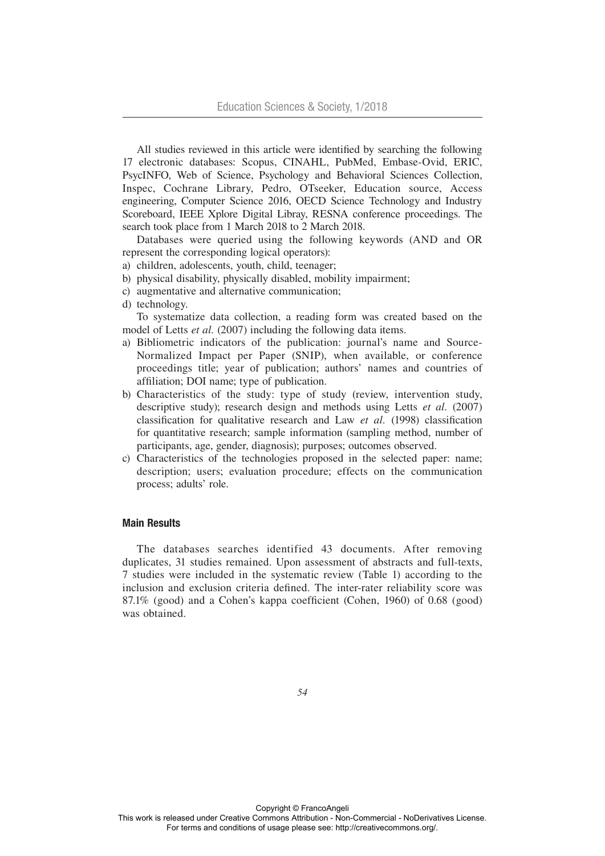All studies reviewed in this article were identified by searching the following 17 electronic databases: Scopus, CINAHL, PubMed, Embase-Ovid, ERIC, PsycINFO, Web of Science, Psychology and Behavioral Sciences Collection, Inspec, Cochrane Library, Pedro, OTseeker, Education source, Access engineering, Computer Science 2016, OECD Science Technology and Industry Scoreboard, IEEE Xplore Digital Libray, RESNA conference proceedings. The search took place from 1 March 2018 to 2 March 2018.

Databases were queried using the following keywords (AND and OR represent the corresponding logical operators):

- a) children, adolescents, youth, child, teenager;
- b) physical disability, physically disabled, mobility impairment;
- c) augmentative and alternative communication;
- d) technology.

To systematize data collection, a reading form was created based on the model of Letts *et al.* (2007) including the following data items.

- a) Bibliometric indicators of the publication: journal's name and Source-Normalized Impact per Paper (SNIP), when available, or conference proceedings title; year of publication; authors' names and countries of affiliation; DOI name; type of publication.
- b) Characteristics of the study: type of study (review, intervention study, descriptive study); research design and methods using Letts *et al.* (2007) classification for qualitative research and Law *et al.* (1998) classification for quantitative research; sample information (sampling method, number of participants, age, gender, diagnosis); purposes; outcomes observed.
- c) Characteristics of the technologies proposed in the selected paper: name; description; users; evaluation procedure; effects on the communication process; adults' role.

## Main Results

The databases searches identified 43 documents. After removing duplicates, 31 studies remained. Upon assessment of abstracts and full-texts, 7 studies were included in the systematic review (Table 1) according to the inclusion and exclusion criteria defined. The inter-rater reliability score was 87.1% (good) and a Cohen's kappa coefficient (Cohen, 1960) of 0.68 (good) was obtained.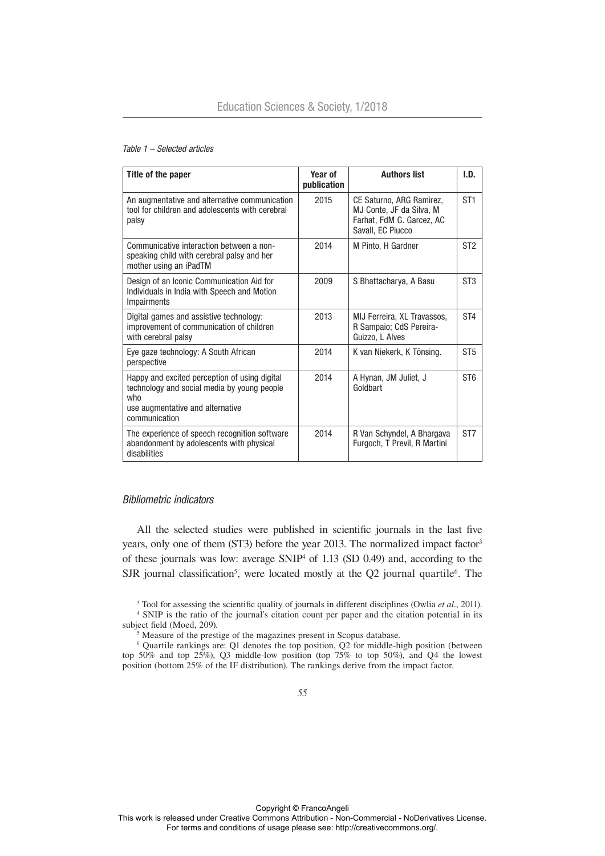#### *Table 1 – Selected articles*

| Title of the paper                                                                                                                                       | Year of<br>publication | <b>Authors list</b>                                                                                    | I.D.            |
|----------------------------------------------------------------------------------------------------------------------------------------------------------|------------------------|--------------------------------------------------------------------------------------------------------|-----------------|
| An augmentative and alternative communication<br>tool for children and adolescents with cerebral<br>palsy                                                | 2015                   | CE Saturno, ARG Ramirez,<br>MJ Conte, JF da Silva, M<br>Farhat, FdM G. Garcez, AC<br>Savall, EC Piucco | ST <sub>1</sub> |
| Communicative interaction between a non-<br>speaking child with cerebral palsy and her<br>mother using an iPadTM                                         | 2014                   | M Pinto, H Gardner                                                                                     | ST <sub>2</sub> |
| Design of an Iconic Communication Aid for<br>Individuals in India with Speech and Motion<br><b>Impairments</b>                                           | 2009                   | S Bhattacharya, A Basu                                                                                 | ST <sub>3</sub> |
| Digital games and assistive technology:<br>improvement of communication of children<br>with cerebral palsy                                               | 2013                   | MIJ Ferreira, XL Travassos,<br>R Sampaio; CdS Pereira-<br>Guizzo, L Alves                              | ST <sub>4</sub> |
| Eye gaze technology: A South African<br>perspective                                                                                                      | 2014                   | K van Niekerk, K Tönsing.                                                                              | ST <sub>5</sub> |
| Happy and excited perception of using digital<br>technology and social media by young people<br>who<br>use augmentative and alternative<br>communication | 2014                   | A Hynan, JM Juliet, J<br>Goldbart                                                                      | ST <sub>6</sub> |
| The experience of speech recognition software<br>abandonment by adolescents with physical<br>disabilities                                                | 2014                   | R Van Schyndel, A Bhargava<br>Furgoch, T Previl, R Martini                                             | ST <sub>7</sub> |

## *Bibliometric indicators*

All the selected studies were published in scientific journals in the last five years, only one of them (ST3) before the year 2013. The normalized impact factor<sup>3</sup> of these journals was low: average SNIP4 of 1.13 (SD 0.49) and, according to the SJR journal classification<sup>5</sup>, were located mostly at the  $Q2$  journal quartile<sup>6</sup>. The

3 Tool for assessing the scientific quality of journals in different disciplines (Owlia *et al.*, 2011). 4 SNIP is the ratio of the journal's citation count per paper and the citation potential in its subject field (Moed, 209).

<sup>5</sup> Measure of the prestige of the magazines present in Scopus database.

6 Quartile rankings are: Q1 denotes the top position, Q2 for middle-high position (between top 50% and top 25%), Q3 middle-low position (top 75% to top 50%), and Q4 the lowest position (bottom 25% of the IF distribution). The rankings derive from the impact factor.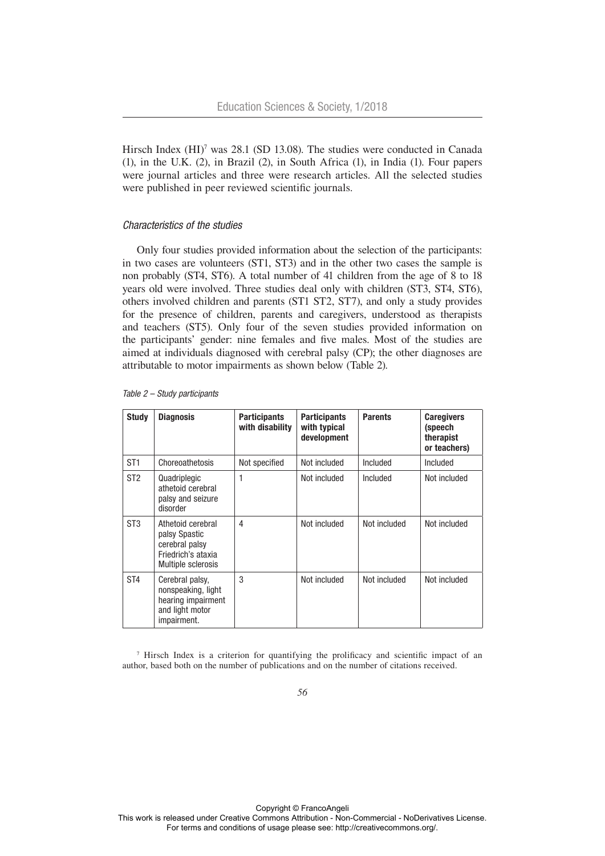Hirsch Index (HI)<sup>7</sup> was 28.1 (SD 13.08). The studies were conducted in Canada (1), in the U.K. (2), in Brazil (2), in South Africa (1), in India (1). Four papers were journal articles and three were research articles. All the selected studies were published in peer reviewed scientific journals.

#### *Characteristics of the studies*

Only four studies provided information about the selection of the participants: in two cases are volunteers (ST1, ST3) and in the other two cases the sample is non probably (ST4, ST6). A total number of 41 children from the age of 8 to 18 years old were involved. Three studies deal only with children (ST3, ST4, ST6), others involved children and parents (ST1 ST2, ST7), and only a study provides for the presence of children, parents and caregivers, understood as therapists and teachers (ST5). Only four of the seven studies provided information on the participants' gender: nine females and five males. Most of the studies are aimed at individuals diagnosed with cerebral palsy (CP); the other diagnoses are attributable to motor impairments as shown below (Table 2).

| <b>Study</b>    | <b>Diagnosis</b>                                                                                 | <b>Participants</b><br>with disability | <b>Participants</b><br>with typical<br>development | <b>Parents</b> | <b>Caregivers</b><br>(speech<br>therapist<br>or teachers) |
|-----------------|--------------------------------------------------------------------------------------------------|----------------------------------------|----------------------------------------------------|----------------|-----------------------------------------------------------|
| ST <sub>1</sub> | Choreoathetosis                                                                                  | Not specified                          | Not included                                       | Included       | Included                                                  |
| ST <sub>2</sub> | Quadriplegic<br>athetoid cerebral<br>palsy and seizure<br>disorder                               | 1                                      | Not included                                       | Included       | Not included                                              |
| ST <sub>3</sub> | Athetoid cerebral<br>palsy Spastic<br>cerebral palsy<br>Friedrich's ataxia<br>Multiple sclerosis | $\overline{4}$                         | Not included                                       | Not included   | Not included                                              |
| ST <sub>4</sub> | Cerebral palsy,<br>nonspeaking, light<br>hearing impairment<br>and light motor<br>impairment.    | 3                                      | Not included                                       | Not included   | Not included                                              |

*Table 2 – Study participants*

7 Hirsch Index is a criterion for quantifying the prolificacy and scientific impact of an author, based both on the number of publications and on the number of citations received.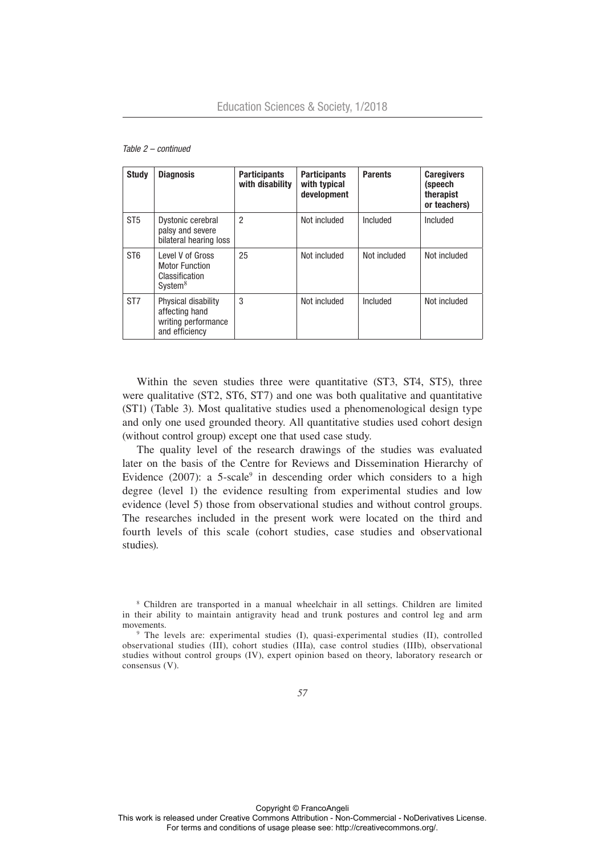| <b>Study</b>    | <b>Diagnosis</b>                                                                   | <b>Participants</b><br>with disability | <b>Participants</b><br>with typical<br>development | <b>Parents</b> | <b>Caregivers</b><br>(speech<br>therapist<br>or teachers) |
|-----------------|------------------------------------------------------------------------------------|----------------------------------------|----------------------------------------------------|----------------|-----------------------------------------------------------|
| ST <sub>5</sub> | Dystonic cerebral<br>palsy and severe<br>bilateral hearing loss                    | $\overline{2}$                         | Not included                                       | Included       | Included                                                  |
| ST <sub>6</sub> | Level V of Gross<br><b>Motor Function</b><br>Classification<br>System <sup>8</sup> | 25                                     | Not included                                       | Not included   | Not included                                              |
| ST <sub>7</sub> | Physical disability<br>affecting hand<br>writing performance<br>and efficiency     | 3                                      | Not included                                       | Included       | Not included                                              |

#### *Table 2 – continued*

Within the seven studies three were quantitative (ST3, ST4, ST5), three were qualitative (ST2, ST6, ST7) and one was both qualitative and quantitative (ST1) (Table 3). Most qualitative studies used a phenomenological design type and only one used grounded theory. All quantitative studies used cohort design (without control group) except one that used case study.

The quality level of the research drawings of the studies was evaluated later on the basis of the Centre for Reviews and Dissemination Hierarchy of Evidence  $(2007)$ : a 5-scale<sup>9</sup> in descending order which considers to a high degree (level 1) the evidence resulting from experimental studies and low evidence (level 5) those from observational studies and without control groups. The researches included in the present work were located on the third and fourth levels of this scale (cohort studies, case studies and observational studies).

<sup>8</sup> Children are transported in a manual wheelchair in all settings. Children are limited in their ability to maintain antigravity head and trunk postures and control leg and arm movements.

<sup>9</sup> The levels are: experimental studies (I), quasi-experimental studies (II), controlled observational studies (III), cohort studies (IIIa), case control studies (IIIb), observational studies without control groups (IV), expert opinion based on theory, laboratory research or consensus (V).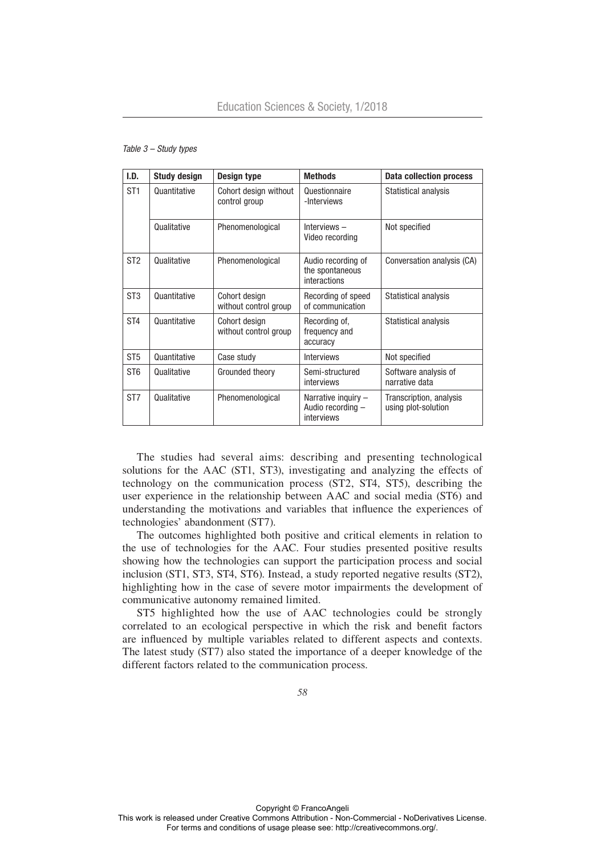| I.D.            | <b>Study design</b> | <b>Design type</b>                     | <b>Methods</b>                                           | <b>Data collection process</b>                 |
|-----------------|---------------------|----------------------------------------|----------------------------------------------------------|------------------------------------------------|
| ST <sub>1</sub> | Quantitative        | Cohort design without<br>control group | Questionnaire<br>-Interviews                             | Statistical analysis                           |
|                 | Qualitative         | Phenomenological                       | Interviews-<br>Video recording                           | Not specified                                  |
| ST <sub>2</sub> | Qualitative         | Phenomenological                       | Audio recording of<br>the spontaneous<br>interactions    | Conversation analysis (CA)                     |
| ST <sub>3</sub> | Quantitative        | Cohort design<br>without control group | Recording of speed<br>of communication                   | Statistical analysis                           |
| ST <sub>4</sub> | Quantitative        | Cohort design<br>without control group | Recording of,<br>frequency and<br>accuracy               | Statistical analysis                           |
| ST <sub>5</sub> | Quantitative        | Case study                             | <b>Interviews</b>                                        | Not specified                                  |
| ST <sub>6</sub> | Qualitative         | Grounded theory                        | Semi-structured<br>interviews                            | Software analysis of<br>narrative data         |
| ST <sub>7</sub> | Qualitative         | Phenomenological                       | Narrative inquiry $-$<br>Audio recording -<br>interviews | Transcription, analysis<br>using plot-solution |

*Table 3 – Study types*

The studies had several aims: describing and presenting technological solutions for the AAC (ST1, ST3), investigating and analyzing the effects of technology on the communication process (ST2, ST4, ST5), describing the user experience in the relationship between AAC and social media (ST6) and understanding the motivations and variables that influence the experiences of technologies' abandonment (ST7).

The outcomes highlighted both positive and critical elements in relation to the use of technologies for the AAC. Four studies presented positive results showing how the technologies can support the participation process and social inclusion (ST1, ST3, ST4, ST6). Instead, a study reported negative results (ST2), highlighting how in the case of severe motor impairments the development of communicative autonomy remained limited.

ST5 highlighted how the use of AAC technologies could be strongly correlated to an ecological perspective in which the risk and benefit factors are influenced by multiple variables related to different aspects and contexts. The latest study (ST7) also stated the importance of a deeper knowledge of the different factors related to the communication process.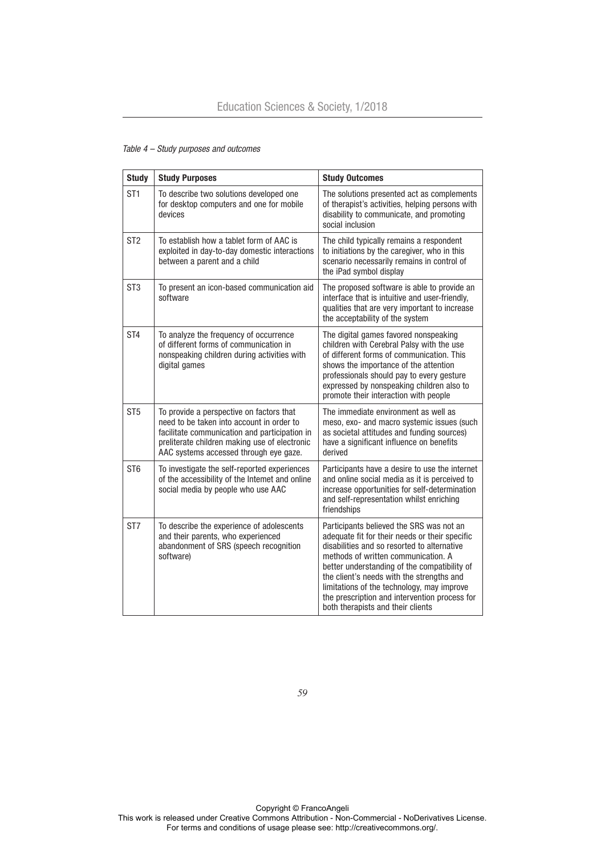| <b>Study</b>    | <b>Study Purposes</b>                                                                                                                                                                                                             | <b>Study Outcomes</b>                                                                                                                                                                                                                                                                                                                                                                                             |
|-----------------|-----------------------------------------------------------------------------------------------------------------------------------------------------------------------------------------------------------------------------------|-------------------------------------------------------------------------------------------------------------------------------------------------------------------------------------------------------------------------------------------------------------------------------------------------------------------------------------------------------------------------------------------------------------------|
| ST <sub>1</sub> | To describe two solutions developed one<br>for desktop computers and one for mobile<br>devices                                                                                                                                    | The solutions presented act as complements<br>of therapist's activities, helping persons with<br>disability to communicate, and promoting<br>social inclusion                                                                                                                                                                                                                                                     |
| ST <sub>2</sub> | To establish how a tablet form of AAC is<br>exploited in day-to-day domestic interactions<br>between a parent and a child                                                                                                         | The child typically remains a respondent<br>to initiations by the caregiver, who in this<br>scenario necessarily remains in control of<br>the iPad symbol display                                                                                                                                                                                                                                                 |
| ST <sub>3</sub> | To present an icon-based communication aid<br>software                                                                                                                                                                            | The proposed software is able to provide an<br>interface that is intuitive and user-friendly,<br>qualities that are very important to increase<br>the acceptability of the system                                                                                                                                                                                                                                 |
| ST <sub>4</sub> | To analyze the frequency of occurrence<br>of different forms of communication in<br>nonspeaking children during activities with<br>digital games                                                                                  | The digital games favored nonspeaking<br>children with Cerebral Palsy with the use<br>of different forms of communication. This<br>shows the importance of the attention<br>professionals should pay to every gesture<br>expressed by nonspeaking children also to<br>promote their interaction with people                                                                                                       |
| ST <sub>5</sub> | To provide a perspective on factors that<br>need to be taken into account in order to<br>facilitate communication and participation in<br>preliterate children making use of electronic<br>AAC systems accessed through eye gaze. | The immediate environment as well as<br>meso, exo- and macro systemic issues (such<br>as societal attitudes and funding sources)<br>have a significant influence on benefits<br>derived                                                                                                                                                                                                                           |
| ST <sub>6</sub> | To investigate the self-reported experiences<br>of the accessibility of the Intemet and online<br>social media by people who use AAC                                                                                              | Participants have a desire to use the internet<br>and online social media as it is perceived to<br>increase opportunities for self-determination<br>and self-representation whilst enriching<br>friendships                                                                                                                                                                                                       |
| ST7             | To describe the experience of adolescents<br>and their parents, who experienced<br>abandonment of SRS (speech recognition<br>software)                                                                                            | Participants believed the SRS was not an<br>adequate fit for their needs or their specific<br>disabilities and so resorted to alternative<br>methods of written communication. A<br>better understanding of the compatibility of<br>the client's needs with the strengths and<br>limitations of the technology, may improve<br>the prescription and intervention process for<br>both therapists and their clients |

# *Table 4 – Study purposes and outcomes*

*59*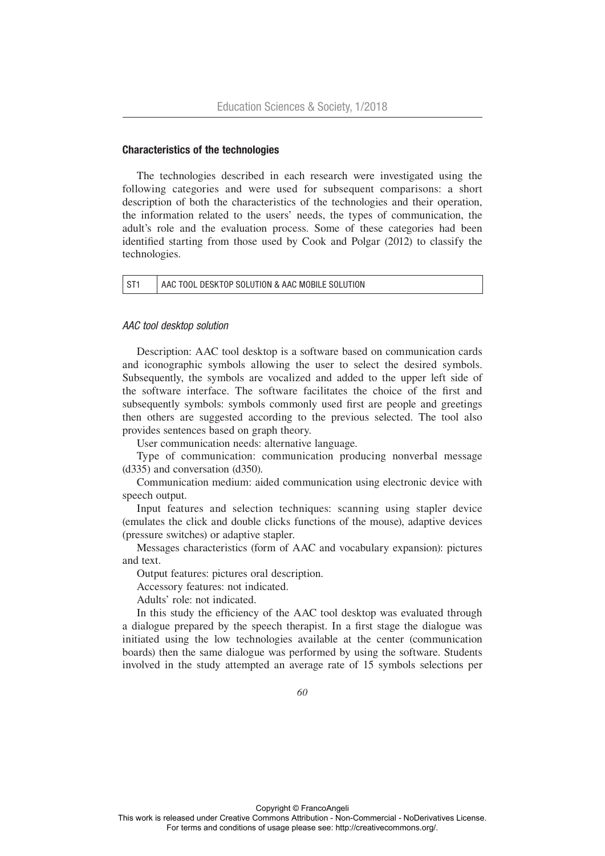## Characteristics of the technologies

The technologies described in each research were investigated using the following categories and were used for subsequent comparisons: a short description of both the characteristics of the technologies and their operation, the information related to the users' needs, the types of communication, the adult's role and the evaluation process. Some of these categories had been identified starting from those used by Cook and Polgar (2012) to classify the technologies.

| $\vert$ ST1 | AAC TOOL DESKTOP SOLUTION & AAC MOBILE SOLUTION |
|-------------|-------------------------------------------------|
|-------------|-------------------------------------------------|

## *AAC tool desktop solution*

Description: AAC tool desktop is a software based on communication cards and iconographic symbols allowing the user to select the desired symbols. Subsequently, the symbols are vocalized and added to the upper left side of the software interface. The software facilitates the choice of the first and subsequently symbols: symbols commonly used first are people and greetings then others are suggested according to the previous selected. The tool also provides sentences based on graph theory.

User communication needs: alternative language.

Type of communication: communication producing nonverbal message (d335) and conversation (d350).

Communication medium: aided communication using electronic device with speech output.

Input features and selection techniques: scanning using stapler device (emulates the click and double clicks functions of the mouse), adaptive devices (pressure switches) or adaptive stapler.

Messages characteristics (form of AAC and vocabulary expansion): pictures and text.

Output features: pictures oral description.

Accessory features: not indicated.

Adults' role: not indicated.

In this study the efficiency of the AAC tool desktop was evaluated through a dialogue prepared by the speech therapist. In a first stage the dialogue was initiated using the low technologies available at the center (communication boards) then the same dialogue was performed by using the software. Students involved in the study attempted an average rate of 15 symbols selections per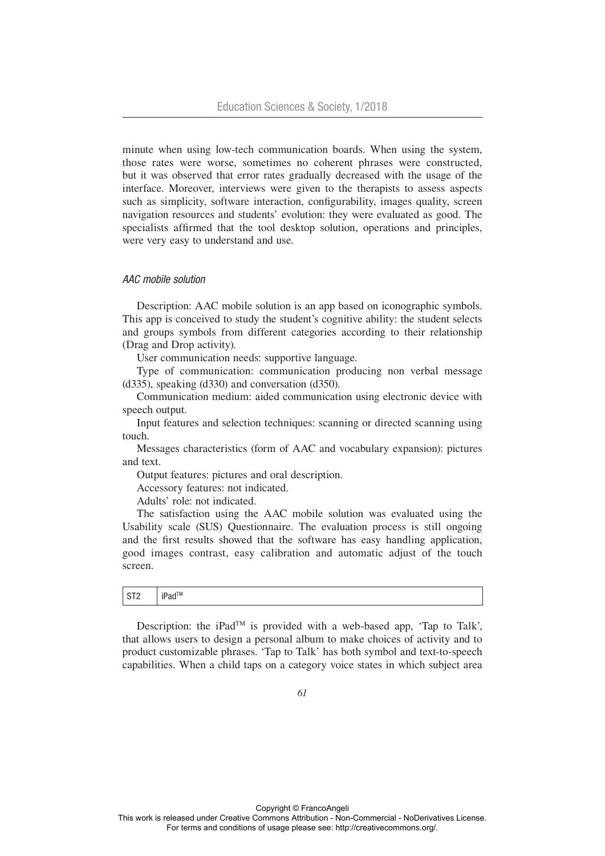minute when using low-tech communication boards. When using the system, those rates were worse, sometimes no coherent phrases were constructed, but it was observed that error rates gradually decreased with the usage of the interface. Moreover, interviews were given to the therapists to assess aspects such as simplicity, software interaction, configurability, images quality, screen navigation resources and students' evolution: they were evaluated as good. The specialists affirmed that the tool desktop solution, operations and principles, were very easy to understand and use.

#### *AAC mobile solution*

Description: AAC mobile solution is an app based on iconographic symbols. This app is conceived to study the student's cognitive ability: the student selects and groups symbols from different categories according to their relationship (Drag and Drop activity).

User communication needs: supportive language.

Type of communication: communication producing non verbal message (d335), speaking (d330) and conversation (d350).

Communication medium: aided communication using electronic device with speech output.

Input features and selection techniques: scanning or directed scanning using touch.

Messages characteristics (form of AAC and vocabulary expansion): pictures and text.

Output features: pictures and oral description.

Accessory features: not indicated.

Adults' role: not indicated.

The satisfaction using the AAC mobile solution was evaluated using the Usability scale (SUS) Questionnaire. The evaluation process is still ongoing and the first results showed that the software has easy handling application, good images contrast, easy calibration and automatic adjust of the touch screen.

## ST2 | iPad™

Description: the iPad<sup>TM</sup> is provided with a web-based app, 'Tap to Talk', that allows users to design a personal album to make choices of activity and to product customizable phrases. 'Tap to Talk' has both symbol and text-to-speech capabilities. When a child taps on a category voice states in which subject area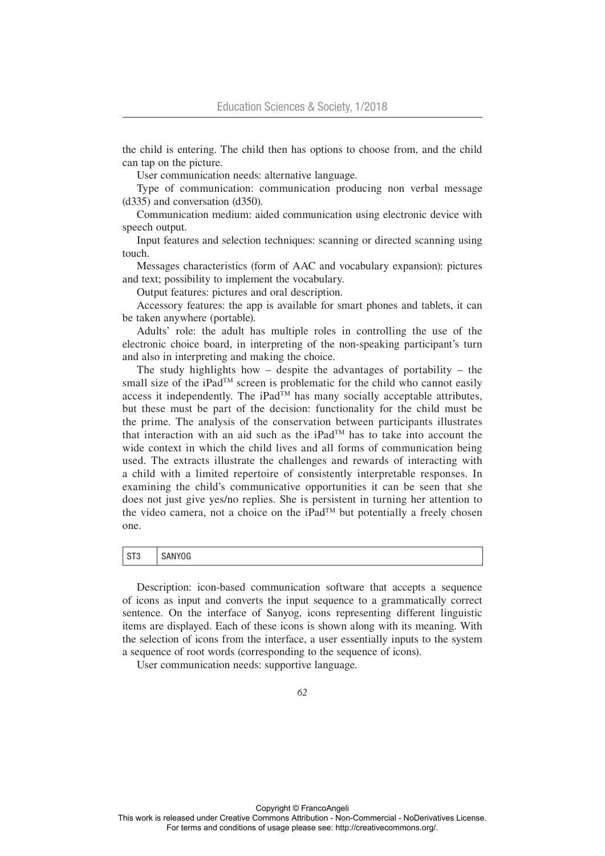the child is entering. The child then has options to choose from, and the child can tap on the picture.

User communication needs: alternative language.

Type of communication: communication producing non verbal message (d335) and conversation (d350).

Communication medium: aided communication using electronic device with speech output.

Input features and selection techniques: scanning or directed scanning using touch.

Messages characteristics (form of AAC and vocabulary expansion): pictures and text; possibility to implement the vocabulary.

Output features: pictures and oral description.

Accessory features: the app is available for smart phones and tablets, it can be taken anywhere (portable).

Adults' role: the adult has multiple roles in controlling the use of the electronic choice board, in interpreting of the non-speaking participant's turn and also in interpreting and making the choice.

The study highlights how – despite the advantages of portability – the small size of the iPad<sup>TM</sup> screen is problematic for the child who cannot easily access it independently. The  $iPad^{\overline{T}M}$  has many socially acceptable attributes, but these must be part of the decision: functionality for the child must be the prime. The analysis of the conservation between participants illustrates that interaction with an aid such as the iPadTM has to take into account the wide context in which the child lives and all forms of communication being used. The extracts illustrate the challenges and rewards of interacting with a child with a limited repertoire of consistently interpretable responses. In examining the child's communicative opportunities it can be seen that she does not just give yes/no replies. She is persistent in turning her attention to the video camera, not a choice on the iPad<sup>TM</sup> but potentially a freely chosen one.

# ST3 SANYOG

Description: icon-based communication software that accepts a sequence of icons as input and converts the input sequence to a grammatically correct sentence. On the interface of Sanyog, icons representing different linguistic items are displayed. Each of these icons is shown along with its meaning. With the selection of icons from the interface, a user essentially inputs to the system a sequence of root words (corresponding to the sequence of icons).

User communication needs: supportive language.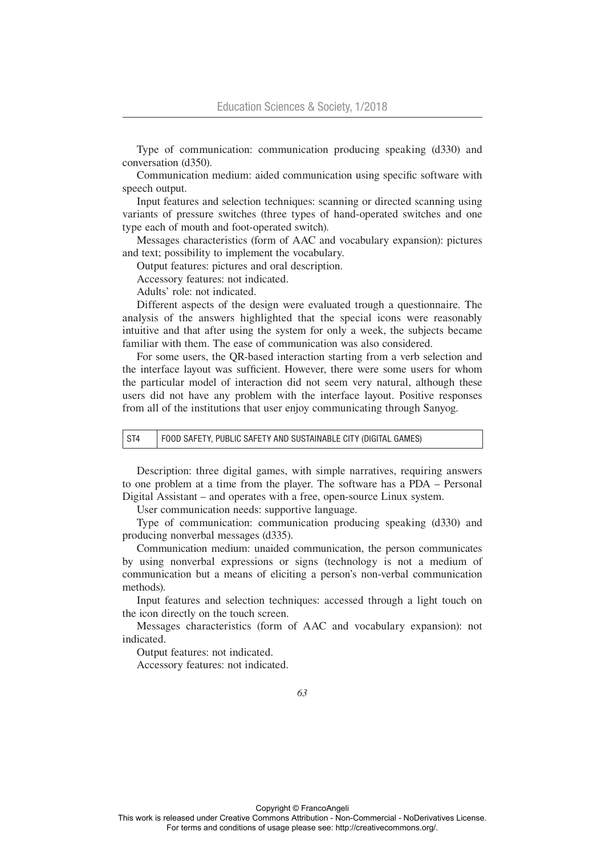Type of communication: communication producing speaking (d330) and conversation (d350).

Communication medium: aided communication using specific software with speech output.

Input features and selection techniques: scanning or directed scanning using variants of pressure switches (three types of hand-operated switches and one type each of mouth and foot-operated switch).

Messages characteristics (form of AAC and vocabulary expansion): pictures and text; possibility to implement the vocabulary.

Output features: pictures and oral description.

Accessory features: not indicated.

Adults' role: not indicated.

Different aspects of the design were evaluated trough a questionnaire. The analysis of the answers highlighted that the special icons were reasonably intuitive and that after using the system for only a week, the subjects became familiar with them. The ease of communication was also considered.

For some users, the QR-based interaction starting from a verb selection and the interface layout was sufficient. However, there were some users for whom the particular model of interaction did not seem very natural, although these users did not have any problem with the interface layout. Positive responses from all of the institutions that user enjoy communicating through Sanyog.

ST4 | FOOD SAFETY, PUBLIC SAFETY AND SUSTAINABLE CITY (DIGITAL GAMES)

Description: three digital games, with simple narratives, requiring answers to one problem at a time from the player. The software has a PDA – Personal Digital Assistant – and operates with a free, open-source Linux system.

User communication needs: supportive language.

Type of communication: communication producing speaking (d330) and producing nonverbal messages (d335).

Communication medium: unaided communication, the person communicates by using nonverbal expressions or signs (technology is not a medium of communication but a means of eliciting a person's non-verbal communication methods).

Input features and selection techniques: accessed through a light touch on the icon directly on the touch screen.

Messages characteristics (form of AAC and vocabulary expansion): not indicated.

Output features: not indicated.

Accessory features: not indicated.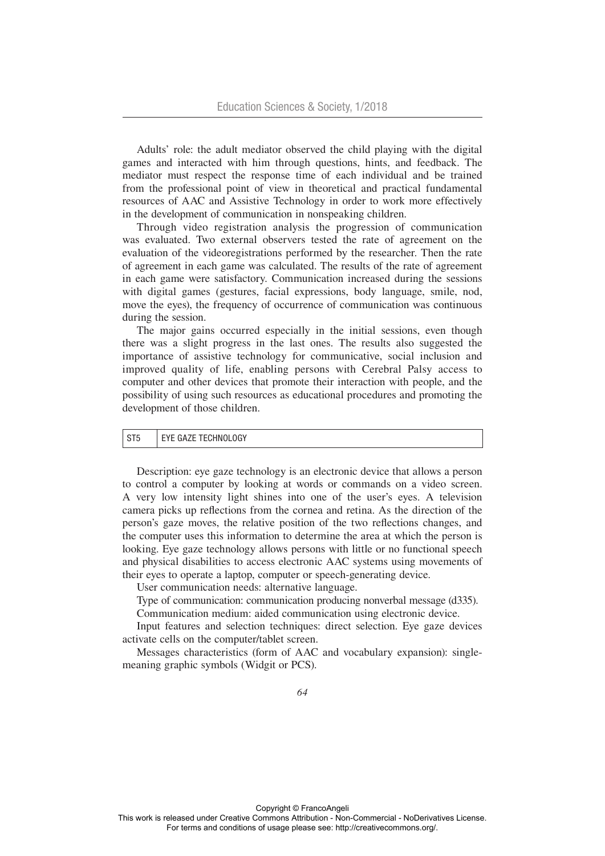Adults' role: the adult mediator observed the child playing with the digital games and interacted with him through questions, hints, and feedback. The mediator must respect the response time of each individual and be trained from the professional point of view in theoretical and practical fundamental resources of AAC and Assistive Technology in order to work more effectively in the development of communication in nonspeaking children.

Through video registration analysis the progression of communication was evaluated. Two external observers tested the rate of agreement on the evaluation of the videoregistrations performed by the researcher. Then the rate of agreement in each game was calculated. The results of the rate of agreement in each game were satisfactory. Communication increased during the sessions with digital games (gestures, facial expressions, body language, smile, nod, move the eyes), the frequency of occurrence of communication was continuous during the session.

The major gains occurred especially in the initial sessions, even though there was a slight progress in the last ones. The results also suggested the importance of assistive technology for communicative, social inclusion and improved quality of life, enabling persons with Cerebral Palsy access to computer and other devices that promote their interaction with people, and the possibility of using such resources as educational procedures and promoting the development of those children.

## $ST5$  FYE GAZE TECHNOLOGY

Description: eye gaze technology is an electronic device that allows a person to control a computer by looking at words or commands on a video screen. A very low intensity light shines into one of the user's eyes. A television camera picks up reflections from the cornea and retina. As the direction of the person's gaze moves, the relative position of the two reflections changes, and the computer uses this information to determine the area at which the person is looking. Eye gaze technology allows persons with little or no functional speech and physical disabilities to access electronic AAC systems using movements of their eyes to operate a laptop, computer or speech-generating device.

User communication needs: alternative language.

Type of communication: communication producing nonverbal message (d335).

Communication medium: aided communication using electronic device.

Input features and selection techniques: direct selection. Eye gaze devices activate cells on the computer/tablet screen.

Messages characteristics (form of AAC and vocabulary expansion): singlemeaning graphic symbols (Widgit or PCS).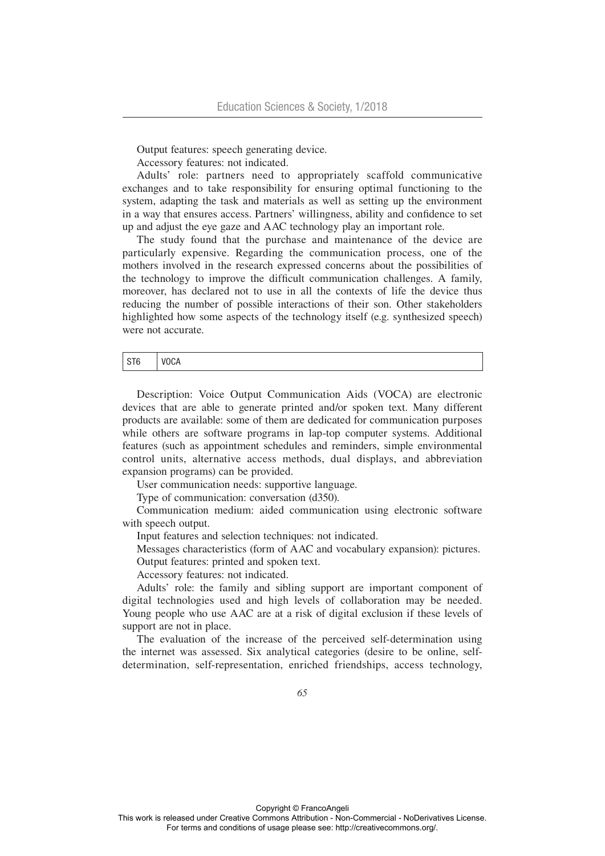Output features: speech generating device.

Accessory features: not indicated.

Adults' role: partners need to appropriately scaffold communicative exchanges and to take responsibility for ensuring optimal functioning to the system, adapting the task and materials as well as setting up the environment in a way that ensures access. Partners' willingness, ability and confidence to set up and adjust the eye gaze and AAC technology play an important role.

The study found that the purchase and maintenance of the device are particularly expensive. Regarding the communication process, one of the mothers involved in the research expressed concerns about the possibilities of the technology to improve the difficult communication challenges. A family, moreover, has declared not to use in all the contexts of life the device thus reducing the number of possible interactions of their son. Other stakeholders highlighted how some aspects of the technology itself (e.g. synthesized speech) were not accurate.

ST6 VOCA

Description: Voice Output Communication Aids (VOCA) are electronic devices that are able to generate printed and/or spoken text. Many different products are available: some of them are dedicated for communication purposes while others are software programs in lap-top computer systems. Additional features (such as appointment schedules and reminders, simple environmental control units, alternative access methods, dual displays, and abbreviation expansion programs) can be provided.

User communication needs: supportive language.

Type of communication: conversation (d350).

Communication medium: aided communication using electronic software with speech output.

Input features and selection techniques: not indicated.

Messages characteristics (form of AAC and vocabulary expansion): pictures. Output features: printed and spoken text.

Accessory features: not indicated.

Adults' role: the family and sibling support are important component of digital technologies used and high levels of collaboration may be needed. Young people who use AAC are at a risk of digital exclusion if these levels of support are not in place.

The evaluation of the increase of the perceived self-determination using the internet was assessed. Six analytical categories (desire to be online, selfdetermination, self-representation, enriched friendships, access technology,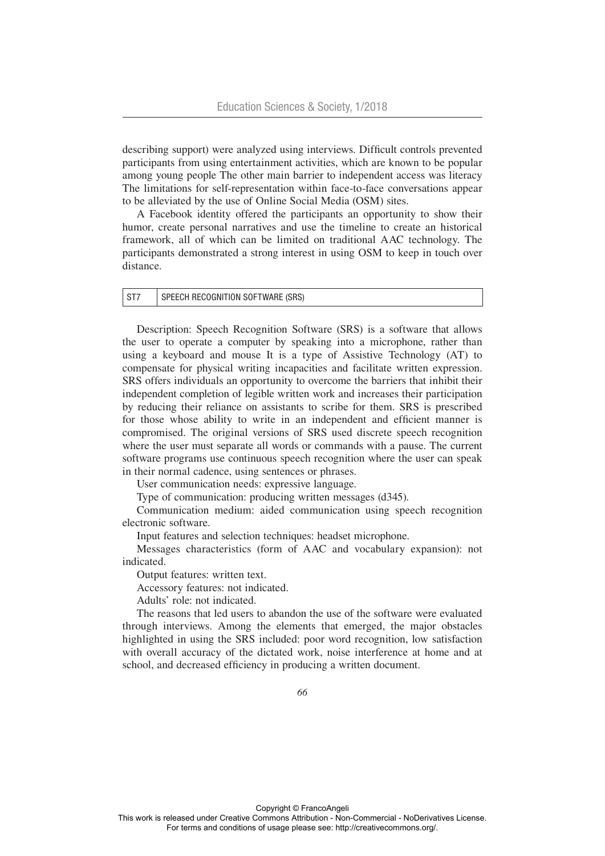describing support) were analyzed using interviews. Difficult controls prevented participants from using entertainment activities, which are known to be popular among young people The other main barrier to independent access was literacy The limitations for self-representation within face-to-face conversations appear to be alleviated by the use of Online Social Media (OSM) sites.

A Facebook identity offered the participants an opportunity to show their humor, create personal narratives and use the timeline to create an historical framework, all of which can be limited on traditional AAC technology. The participants demonstrated a strong interest in using OSM to keep in touch over distance.

| ST7 | SPEECH RECOGNITION SOFTWARE (SRS) |
|-----|-----------------------------------|
|-----|-----------------------------------|

Description: Speech Recognition Software (SRS) is a software that allows the user to operate a computer by speaking into a microphone, rather than using a keyboard and mouse It is a type of Assistive Technology (AT) to compensate for physical writing incapacities and facilitate written expression. SRS offers individuals an opportunity to overcome the barriers that inhibit their independent completion of legible written work and increases their participation by reducing their reliance on assistants to scribe for them. SRS is prescribed for those whose ability to write in an independent and efficient manner is compromised. The original versions of SRS used discrete speech recognition where the user must separate all words or commands with a pause. The current software programs use continuous speech recognition where the user can speak in their normal cadence, using sentences or phrases.

User communication needs: expressive language.

Type of communication: producing written messages (d345).

Communication medium: aided communication using speech recognition electronic software.

Input features and selection techniques: headset microphone.

Messages characteristics (form of AAC and vocabulary expansion): not indicated.

Output features: written text.

Accessory features: not indicated.

Adults' role: not indicated.

The reasons that led users to abandon the use of the software were evaluated through interviews. Among the elements that emerged, the major obstacles highlighted in using the SRS included: poor word recognition, low satisfaction with overall accuracy of the dictated work, noise interference at home and at school, and decreased efficiency in producing a written document.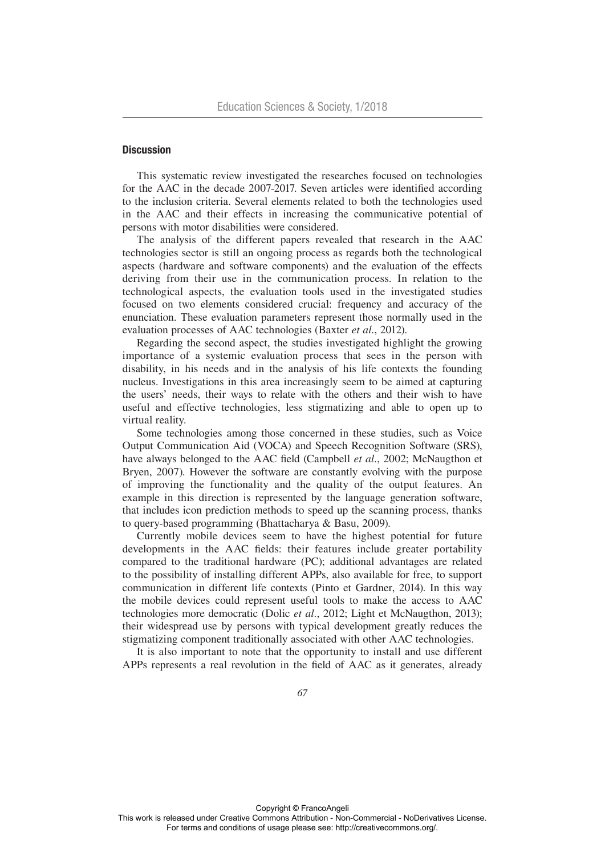# **Discussion**

This systematic review investigated the researches focused on technologies for the AAC in the decade 2007-2017. Seven articles were identified according to the inclusion criteria. Several elements related to both the technologies used in the AAC and their effects in increasing the communicative potential of persons with motor disabilities were considered.

The analysis of the different papers revealed that research in the AAC technologies sector is still an ongoing process as regards both the technological aspects (hardware and software components) and the evaluation of the effects deriving from their use in the communication process. In relation to the technological aspects, the evaluation tools used in the investigated studies focused on two elements considered crucial: frequency and accuracy of the enunciation. These evaluation parameters represent those normally used in the evaluation processes of AAC technologies (Baxter *et al.*, 2012).

Regarding the second aspect, the studies investigated highlight the growing importance of a systemic evaluation process that sees in the person with disability, in his needs and in the analysis of his life contexts the founding nucleus. Investigations in this area increasingly seem to be aimed at capturing the users' needs, their ways to relate with the others and their wish to have useful and effective technologies, less stigmatizing and able to open up to virtual reality.

Some technologies among those concerned in these studies, such as Voice Output Communication Aid (VOCA) and Speech Recognition Software (SRS), have always belonged to the AAC field (Campbell *et al.*, 2002; McNaugthon et Bryen, 2007). However the software are constantly evolving with the purpose of improving the functionality and the quality of the output features. An example in this direction is represented by the language generation software, that includes icon prediction methods to speed up the scanning process, thanks to query-based programming (Bhattacharya & Basu, 2009).

Currently mobile devices seem to have the highest potential for future developments in the AAC fields: their features include greater portability compared to the traditional hardware (PC); additional advantages are related to the possibility of installing different APPs, also available for free, to support communication in different life contexts (Pinto et Gardner, 2014). In this way the mobile devices could represent useful tools to make the access to AAC technologies more democratic (Dolic *et al.*, 2012; Light et McNaugthon, 2013); their widespread use by persons with typical development greatly reduces the stigmatizing component traditionally associated with other AAC technologies.

It is also important to note that the opportunity to install and use different APPs represents a real revolution in the field of AAC as it generates, already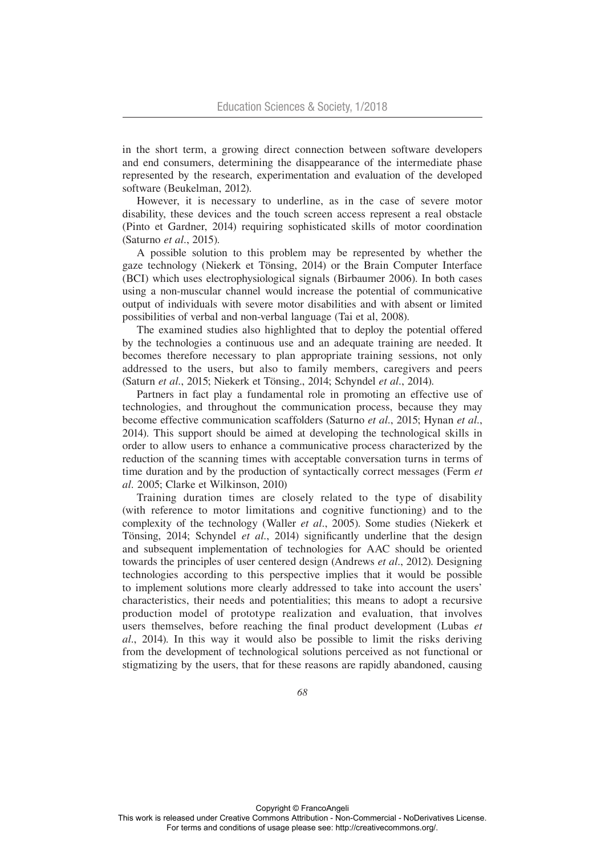in the short term, a growing direct connection between software developers and end consumers, determining the disappearance of the intermediate phase represented by the research, experimentation and evaluation of the developed software (Beukelman, 2012).

However, it is necessary to underline, as in the case of severe motor disability, these devices and the touch screen access represent a real obstacle (Pinto et Gardner, 2014) requiring sophisticated skills of motor coordination (Saturno *et al.*, 2015).

A possible solution to this problem may be represented by whether the gaze technology (Niekerk et Tönsing, 2014) or the Brain Computer Interface (BCI) which uses electrophysiological signals (Birbaumer 2006). In both cases using a non-muscular channel would increase the potential of communicative output of individuals with severe motor disabilities and with absent or limited possibilities of verbal and non-verbal language (Tai et al, 2008).

The examined studies also highlighted that to deploy the potential offered by the technologies a continuous use and an adequate training are needed. It becomes therefore necessary to plan appropriate training sessions, not only addressed to the users, but also to family members, caregivers and peers (Saturn *et al.*, 2015; Niekerk et Tönsing., 2014; Schyndel *et al.*, 2014).

Partners in fact play a fundamental role in promoting an effective use of technologies, and throughout the communication process, because they may become effective communication scaffolders (Saturno *et al.*, 2015; Hynan *et al.*, 2014). This support should be aimed at developing the technological skills in order to allow users to enhance a communicative process characterized by the reduction of the scanning times with acceptable conversation turns in terms of time duration and by the production of syntactically correct messages (Ferm *et al.* 2005; Clarke et Wilkinson, 2010)

Training duration times are closely related to the type of disability (with reference to motor limitations and cognitive functioning) and to the complexity of the technology (Waller *et al.*, 2005). Some studies (Niekerk et Tönsing, 2014; Schyndel *et al.*, 2014) significantly underline that the design and subsequent implementation of technologies for AAC should be oriented towards the principles of user centered design (Andrews *et al.*, 2012). Designing technologies according to this perspective implies that it would be possible to implement solutions more clearly addressed to take into account the users' characteristics, their needs and potentialities; this means to adopt a recursive production model of prototype realization and evaluation, that involves users themselves, before reaching the final product development (Lubas *et al.*, 2014). In this way it would also be possible to limit the risks deriving from the development of technological solutions perceived as not functional or stigmatizing by the users, that for these reasons are rapidly abandoned, causing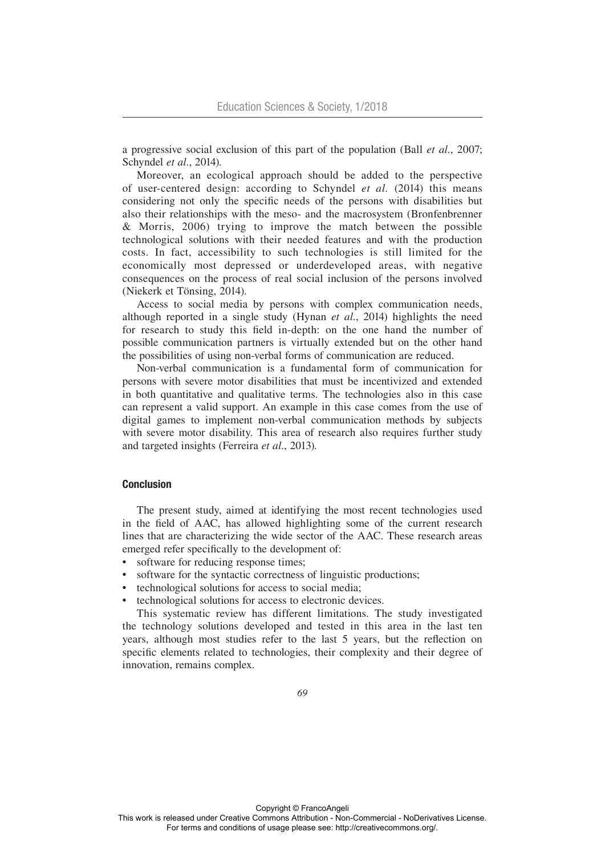a progressive social exclusion of this part of the population (Ball *et al.*, 2007; Schyndel *et al.*, 2014).

Moreover, an ecological approach should be added to the perspective of user-centered design: according to Schyndel *et al.* (2014) this means considering not only the specific needs of the persons with disabilities but also their relationships with the meso- and the macrosystem (Bronfenbrenner & Morris, 2006) trying to improve the match between the possible technological solutions with their needed features and with the production costs. In fact, accessibility to such technologies is still limited for the economically most depressed or underdeveloped areas, with negative consequences on the process of real social inclusion of the persons involved (Niekerk et Tönsing, 2014).

Access to social media by persons with complex communication needs, although reported in a single study (Hynan *et al.*, 2014) highlights the need for research to study this field in-depth: on the one hand the number of possible communication partners is virtually extended but on the other hand the possibilities of using non-verbal forms of communication are reduced.

Non-verbal communication is a fundamental form of communication for persons with severe motor disabilities that must be incentivized and extended in both quantitative and qualitative terms. The technologies also in this case can represent a valid support. An example in this case comes from the use of digital games to implement non-verbal communication methods by subjects with severe motor disability. This area of research also requires further study and targeted insights (Ferreira *et al.*, 2013).

# Conclusion

The present study, aimed at identifying the most recent technologies used in the field of AAC, has allowed highlighting some of the current research lines that are characterizing the wide sector of the AAC. These research areas emerged refer specifically to the development of:

- software for reducing response times;
- software for the syntactic correctness of linguistic productions;
- technological solutions for access to social media;
- technological solutions for access to electronic devices.

This systematic review has different limitations. The study investigated the technology solutions developed and tested in this area in the last ten years, although most studies refer to the last 5 years, but the reflection on specific elements related to technologies, their complexity and their degree of innovation, remains complex.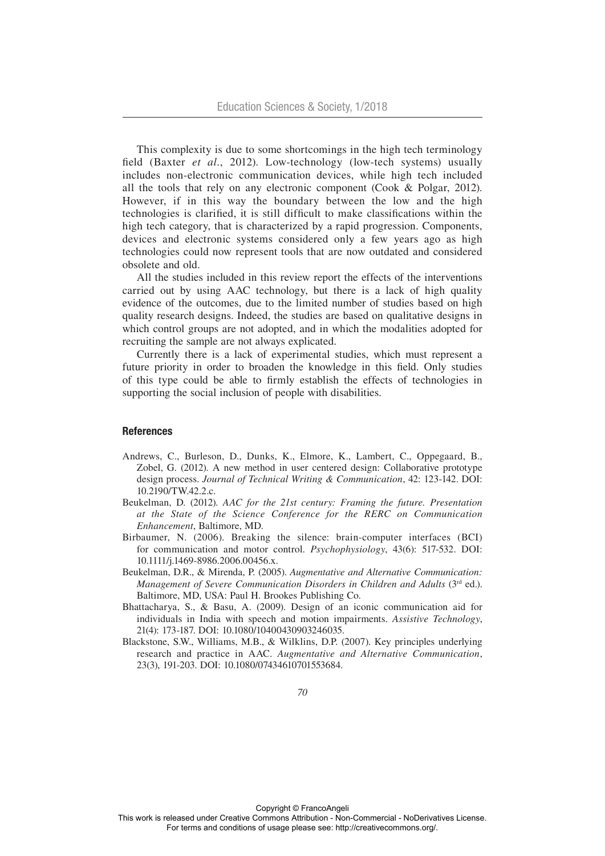This complexity is due to some shortcomings in the high tech terminology field (Baxter *et al.*, 2012). Low-technology (low-tech systems) usually includes non-electronic communication devices, while high tech included all the tools that rely on any electronic component (Cook & Polgar, 2012). However, if in this way the boundary between the low and the high technologies is clarified, it is still difficult to make classifications within the high tech category, that is characterized by a rapid progression. Components, devices and electronic systems considered only a few years ago as high technologies could now represent tools that are now outdated and considered obsolete and old.

All the studies included in this review report the effects of the interventions carried out by using AAC technology, but there is a lack of high quality evidence of the outcomes, due to the limited number of studies based on high quality research designs. Indeed, the studies are based on qualitative designs in which control groups are not adopted, and in which the modalities adopted for recruiting the sample are not always explicated.

Currently there is a lack of experimental studies, which must represent a future priority in order to broaden the knowledge in this field. Only studies of this type could be able to firmly establish the effects of technologies in supporting the social inclusion of people with disabilities.

## **References**

- Andrews, C., Burleson, D., Dunks, K., Elmore, K., Lambert, C., Oppegaard, B., Zobel, G. (2012). A new method in user centered design: Collaborative prototype design process. *Journal of Technical Writing & Communication*, 42: 123-142. DOI: 10.2190/TW.42.2.c.
- Beukelman, D. (2012). *AAC for the 21st century: Framing the future. Presentation at the State of the Science Conference for the RERC on Communication Enhancement*, Baltimore, MD.
- Birbaumer, N. (2006). Breaking the silence: brain-computer interfaces (BCI) for communication and motor control. *Psychophysiology*, 43(6): 517-532. DOI: 10.1111/j.1469-8986.2006.00456.x.
- Beukelman, D.R., & Mirenda, P. (2005). *Augmentative and Alternative Communication: Management of Severe Communication Disorders in Children and Adults* (3<sup>rd</sup> ed.). Baltimore, MD, USA: Paul H. Brookes Publishing Co.
- Bhattacharya, S., & Basu, A. (2009). Design of an iconic communication aid for individuals in India with speech and motion impairments. *Assistive Technology*, 21(4): 173-187. DOI: 10.1080/10400430903246035.
- Blackstone, S.W., Williams, M.B., & Wilklins, D.P. (2007). Key principles underlying research and practice in AAC. *Augmentative and Alternative Communication*, 23(3), 191-203. DOI: 10.1080/07434610701553684.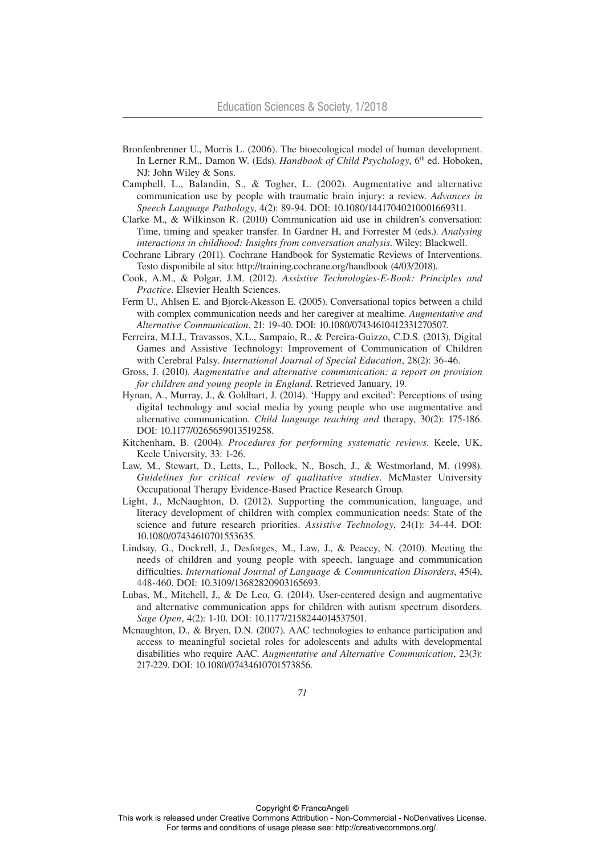- Bronfenbrenner U., Morris L. (2006). The bioecological model of human development. In Lerner R.M., Damon W. (Eds). *Handbook of Child Psychology*, 6<sup>th</sup> ed. Hoboken, NJ: John Wiley & Sons.
- Campbell, L., Balandin, S., & Togher, L. (2002). Augmentative and alternative communication use by people with traumatic brain injury: a review. *Advances in Speech Language Pathology*, 4(2): 89-94. DOI: 10.1080/14417040210001669311.
- Clarke M., & Wilkinson R. (2010) Communication aid use in children's conversation: Time, timing and speaker transfer. In Gardner H, and Forrester M (eds.). *Analysing interactions in childhood: Insights from conversation analysis*. Wiley: Blackwell.
- Cochrane Library (2011). Cochrane Handbook for Systematic Reviews of Interventions. Testo disponibile al sito: http://training.cochrane.org/handbook (4/03/2018).
- Cook, A.M., & Polgar, J.M. (2012). *Assistive Technologies-E-Book: Principles and Practice*. Elsevier Health Sciences.
- Ferm U., Ahlsen E. and Bjorck-Akesson E. (2005). Conversational topics between a child with complex communication needs and her caregiver at mealtime. *Augmentative and Alternative Communication*, 21: 19-40. DOI: 10.1080/07434610412331270507.
- Ferreira, M.I.J., Travassos, X.L., Sampaio, R., & Pereira-Guizzo, C.D.S. (2013). Digital Games and Assistive Technology: Improvement of Communication of Children with Cerebral Palsy. *International Journal of Special Education*, 28(2): 36-46.
- Gross, J. (2010). *Augmentative and alternative communication: a report on provision for children and young people in England*. Retrieved January, 19.
- Hynan, A., Murray, J., & Goldbart, J. (2014). 'Happy and excited': Perceptions of using digital technology and social media by young people who use augmentative and alternative communication. *Child language teaching and* therapy, 30(2): 175-186. DOI: 10.1177/0265659013519258.
- Kitchenham, B. (2004). *Procedures for performing systematic reviews*. Keele, UK, Keele University, 33: 1-26.
- Law, M., Stewart, D., Letts, L., Pollock, N., Bosch, J., & Westmorland, M. (1998). *Guidelines for critical review of qualitative studies*. McMaster University Occupational Therapy Evidence-Based Practice Research Group.
- Light, J., McNaughton, D. (2012). Supporting the communication, language, and literacy development of children with complex communication needs: State of the science and future research priorities. *Assistive Technology*, 24(1): 34-44. DOI: 10.1080/07434610701553635.
- Lindsay, G., Dockrell, J., Desforges, M., Law, J., & Peacey, N. (2010). Meeting the needs of children and young people with speech, language and communication difficulties. *International Journal of Language & Communication Disorders*, 45(4), 448-460. DOI: 10.3109/13682820903165693.
- Lubas, M., Mitchell, J., & De Leo, G. (2014). User-centered design and augmentative and alternative communication apps for children with autism spectrum disorders. *Sage Open*, 4(2): 1-10. DOI: 10.1177/2158244014537501.
- Mcnaughton, D., & Bryen, D.N. (2007). AAC technologies to enhance participation and access to meaningful societal roles for adolescents and adults with developmental disabilities who require AAC. *Augmentative and Alternative Communication*, 23(3): 217-229. DOI: 10.1080/07434610701573856.